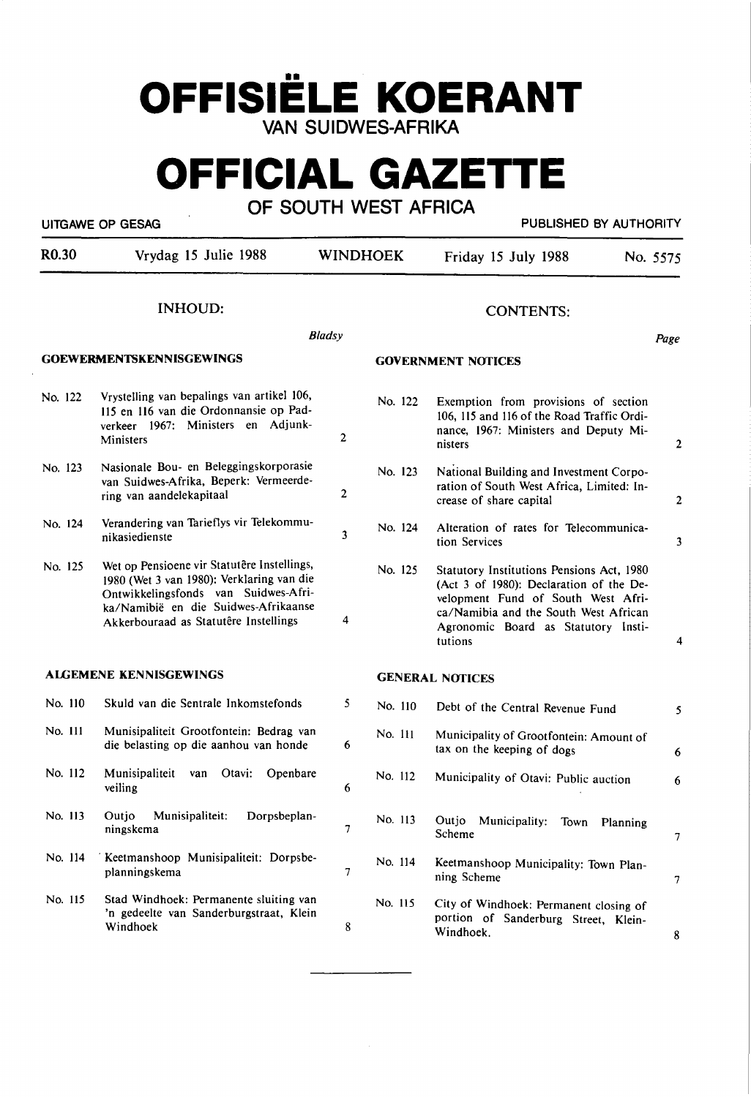## **OFFISIELE KOERANT VAN SUIDWES-AFRIKA**

# **OFFICIAL GAZETTE**

**OF SOUTH WEST AFRICA** 

UITGAWE OP GESAG PUBLISHED BY AUTHORITY

| R <sub>0.30</sub> | Vrydag 15 Julie 1988                                                                                                                                                                                              | <b>WINDHOEK</b> |         | Friday 15 July 1988                                                                                                                                                                                                   | No. 5575         |
|-------------------|-------------------------------------------------------------------------------------------------------------------------------------------------------------------------------------------------------------------|-----------------|---------|-----------------------------------------------------------------------------------------------------------------------------------------------------------------------------------------------------------------------|------------------|
|                   | <b>INHOUD:</b>                                                                                                                                                                                                    |                 |         | <b>CONTENTS:</b>                                                                                                                                                                                                      |                  |
|                   |                                                                                                                                                                                                                   | <b>Bladsy</b>   |         |                                                                                                                                                                                                                       | Page             |
|                   | <b>GOEWERMENTSKENNISGEWINGS</b>                                                                                                                                                                                   |                 |         | <b>GOVERNMENT NOTICES</b>                                                                                                                                                                                             |                  |
| No. 122           | Vrystelling van bepalings van artikel 106,<br>115 en 116 van die Ordonnansie op Pad-<br>verkeer 1967: Ministers en Adjunk-<br>Ministers                                                                           | $\overline{c}$  | No. 122 | Exemption from provisions of section<br>106, 115 and 116 of the Road Traffic Ordi-<br>nance, 1967: Ministers and Deputy Mi-<br>nisters                                                                                | 2                |
| No. 123           | Nasionale Bou- en Beleggingskorporasie<br>van Suidwes-Afrika, Beperk: Vermeerde-<br>ring van aandelekapitaal                                                                                                      | $\overline{2}$  | No. 123 | National Building and Investment Corpo-<br>ration of South West Africa, Limited: In-<br>crease of share capital                                                                                                       | $\boldsymbol{2}$ |
| No. 124           | Verandering van Tarieflys vir Telekommu-<br>nikasiedienste                                                                                                                                                        | 3               | No. 124 | Alteration of rates for Telecommunica-<br>tion Services                                                                                                                                                               | 3                |
| No. 125           | Wet op Pensioene vir Statutêre Instellings,<br>1980 (Wet 3 van 1980): Verklaring van die<br>Ontwikkelingsfonds van Suidwes-Afri-<br>ka/Namibië en die Suidwes-Afrikaanse<br>Akkerbouraad as Statutêre Instellings | 4               | No. 125 | Statutory Institutions Pensions Act, 1980<br>(Act 3 of 1980): Declaration of the De-<br>velopment Fund of South West Afri-<br>ca/Namibia and the South West African<br>Agronomic Board as Statutory Insti-<br>tutions | 4                |
|                   | <b>ALGEMENE KENNISGEWINGS</b>                                                                                                                                                                                     |                 |         | <b>GENERAL NOTICES</b>                                                                                                                                                                                                |                  |
| No. 110           | Skuld van die Sentrale Inkomstefonds                                                                                                                                                                              | 5               | No. 110 | Debt of the Central Revenue Fund                                                                                                                                                                                      | 5                |
| No. 111           | Munisipaliteit Grootfontein: Bedrag van<br>die belasting op die aanhou van honde                                                                                                                                  | 6               | No. 111 | Municipality of Grootfontein: Amount of<br>tax on the keeping of dogs                                                                                                                                                 | 6                |
| No. 112           | Munisipaliteit<br>Otavi:<br>Openbare<br>van<br>veiling                                                                                                                                                            | 6               | No. 112 | Municipality of Otavi: Public auction                                                                                                                                                                                 | 6                |
| No. 113           | Munisipaliteit:<br>Outjo<br>Dorpsbeplan-<br>ningskema                                                                                                                                                             | 7               | No. 113 | Outjo Municipality: Town Planning<br>Scheme                                                                                                                                                                           | $\overline{7}$   |
| No. 114           | Keetmanshoop Munisipaliteit: Dorpsbe-<br>planningskema                                                                                                                                                            | 7               | No. 114 | Keetmanshoop Municipality: Town Plan-<br>ning Scheme                                                                                                                                                                  | 7                |
| No. 115           | Stad Windhoek: Permanente sluiting van<br>'n gedeelte van Sanderburgstraat, Klein<br>Windhoek                                                                                                                     | 8               | No. 115 | City of Windhoek: Permanent closing of<br>portion of Sanderburg Street, Klein-<br>Windhoek.                                                                                                                           | 8                |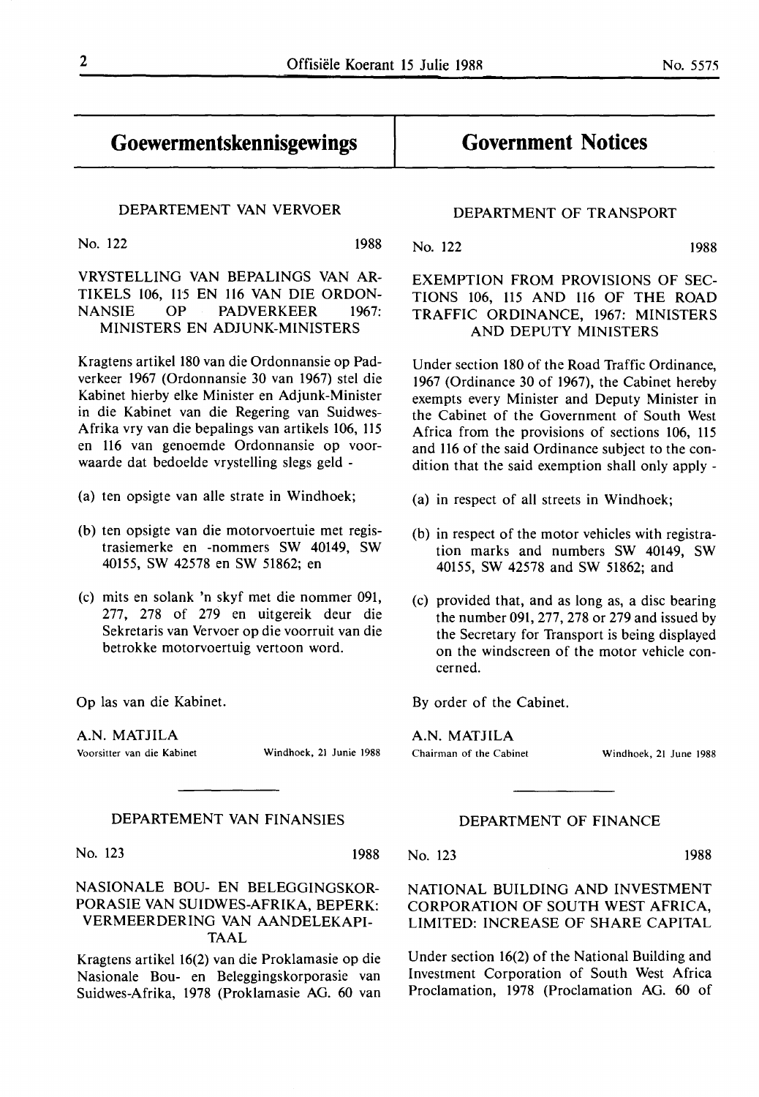### **Goewermentskennisgewings**

#### DEPARTEMENT VAN VERVOER

No. 122 1988

VRYSTELLING VAN BEPALINGS VAN AR-TIKELS 106, ll5 EN 116 VAN DIE ORDON-NANSIE OP PADVERKEER 1967: MINISTERS EN ADJUNK-MINISTERS

Kragtens artikel 180 van die Ordonnansie op Padverkeer 1967 (Ordonnansie 30 van 1967) stel die Kabinet hierby elke Minister en Adjunk-Minister in die Kabinet van die Regering van Suidwes-Afrika vry van die bepalings van artikels 106, 115 en 116 van genoemde Ordonnansie op voorwaarde dat bedoelde vrystelling slegs geld -

- (a) ten opsigte van alle strate in Windhoek;
- (b) ten opsigte van die motorvoertuie met registrasiemerke en -nommers SW 40149, SW 40155, SW 42578 en SW 51862; en
- (c) mits en solank 'n skyf met die nommer 091, 277, 278 of 279 en uitgereik deur die Sekretaris van Vervoer op die voorruit van die betrokke motorvoertuig vertoon word.

Op las van die Kabinet.

**A.N. MATJILA** 

Voorsitter van die Kabinet Windhoek, 21 Junie 1988

#### DEPARTEMENT VAN FINANSIES

No. 123 1988

NASIONALE BOU- EN BELEGGINGSKOR-PORASIE VAN SUIDWES-AFRIKA, BEPERK: VERMEERDERING VAN AANDELEKAPI-TAAL

Kragtens artikel 16(2) van die Proklamasie op die Nasionale Bou- en Beleggingskorporasie van Suidwes-Afrika, 1978 (Proklamasie AG. 60 van

#### DEPARTMENT OF TRANSPORT

**Government Notices** 

No. 122 1988

### EXEMPTION FROM PROVISIONS OF SEC-TIONS 106, 115 AND 116 OF THE ROAD TRAFFIC ORDINANCE, 1967: MINISTERS AND DEPUTY MINISTERS

Under section 180 of the Road Traffic Ordinance, 1967 (Ordinance 30 of 1967), the Cabinet hereby exempts every Minister and Deputy Minister in the Cabinet of the Government of South West Africa from the provisions of sections 106, 115 and 116 of the said Ordinance subject to the condition that the said exemption shall only apply -

- (a) in respect of all streets in Windhoek;
- (b) in respect of the motor vehicles with registration marks and numbers SW 40149, SW 40155, SW 42578 and SW 51862; and
- (c) provided that, and as long as, a disc bearing the number 091, 277, 278 or 279 and issued by the Secretary for Transport is being displayed on the windscreen of the motor vehicle concerned.

By order of the Cabinet.

**A.N. MATJILA**  Chairman of the Cabinet Windhoek, 21 June 1988

#### DEPARTMENT OF FINANCE

No. 123 1988

NATIONAL BUILDING AND INVESTMENT CORPORATION OF SOUTH WEST AFRICA, LIMITED: INCREASE OF SHARE CAPITAL

Under section 16(2) of the National Building and Investment Corporation of South West Africa Proclamation, 1978 (Proclamation AG. 60 of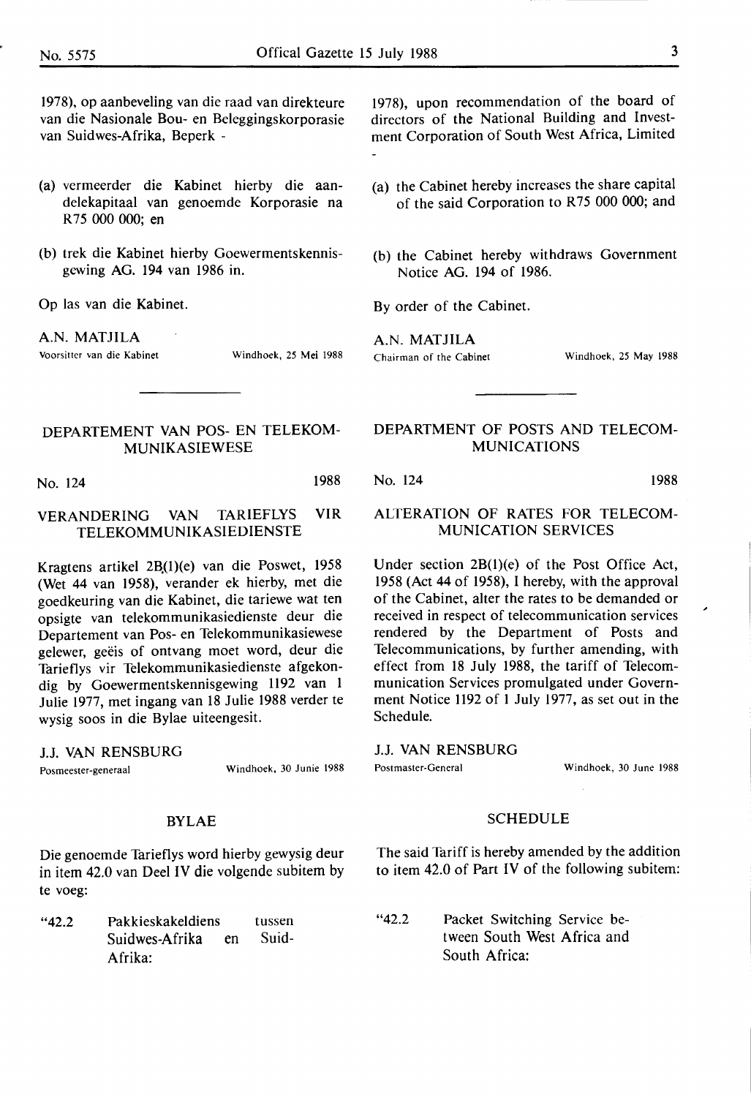1978), op aanbeveling van die raad van direkteure van die Nasionale Bou- en Beleggingskorporasie van Suidwes-Afrika, Beperk -

- (a) vermeerder die Kabinet hierby die aandelekapitaal van genoemde Korporasie na R 75 000 000; en
- (b) trek die Kabinet hierby Goewermentskennisgewing AG. 194 van 1986 in.

Op las van die Kabinet.

**A.N. MATJILA** 

Voorsittcr van die Kabinet Windhoek, 25 **Mei** 1988

### **DEPARTEMENT VAN POS- EN TELEKOM-MUNIKASIEWESE**

No. 124 **1988** 

### **VERANDERING VAN TARIEFLYS VIR TELEKOMMUNIKASIEDIENSTE**

Kragtens artikel 2B(1)(e) van die Poswet, 1958 (Wet 44 van 1958), verander ek hierby, met die goedkeuring van die Kabinet, die tariewe wat ten opsigte van telekommunikasiedienste deur die Departement van Pos- en Telekommunikasiewese gelewer, geëis of ontvang moet word, deur die Tarieflys vir Telekommunikasiedienste afgekondig by Goewermentskennisgewing 1192 van 1 Julie 1977, met ingang van 18 Julie 1988 verder te wysig soos in die Bylae uiteengesit.

J.J. VAN RENSBURG

Posmeester-generaal Windhoek, 30 Junie 1988

#### BYLAE

Die genoemde Tarieflys word hierby gewysig deur in item 42.0 van Deel IV die volgende subitem by te voeg:

"42.2 Pakkieskakeldiens Suidwes-Afrika en Afrika: tussen Suid1978), upon recommendation of the board of directors of the National Building and Investment Corporation of South West Africa, Limited

- (a) the Cabinet hereby increases the share capital of the said Corporation to R75 000 000; and
- (b) the Cabinet hereby withdraws Government Notice AG. 194 of 1986.

By order of the Cabinet.

**A.N. MATJILA**  Chairman of the Cabinet Windhoek, 25 **May** 1988

### DEPARTMENT OF POSTS AND TELECOM-MUNICATIONS

No. 124 1988

#### ALTERATION OF RATES FOR TELECOM-MUNICATION SERVICES

Under section 2B(l)(e) of the Post Office Act, 1958 (Act 44 of 1958), I hereby, with the approval of the Cabinet, alter the rates to be demanded or received in respect of telecommunication services rendered by the Department of Posts and Telecommunications, by further amending, with effect from 18 July 1988, the tariff of Telecommunication Services promulgated under Government Notice 1192 of 1 July 1977, as set out in the Schedule.

J.J. VAN RENSBURG

Postmaster-General Windhoek, 30 June 1988

#### SCHEDULE

The said Tariff is hereby amended by the addition to item 42.0 of Part IV of the following subitem:

"42.2 Packet Switching Service between South West Africa and South Africa: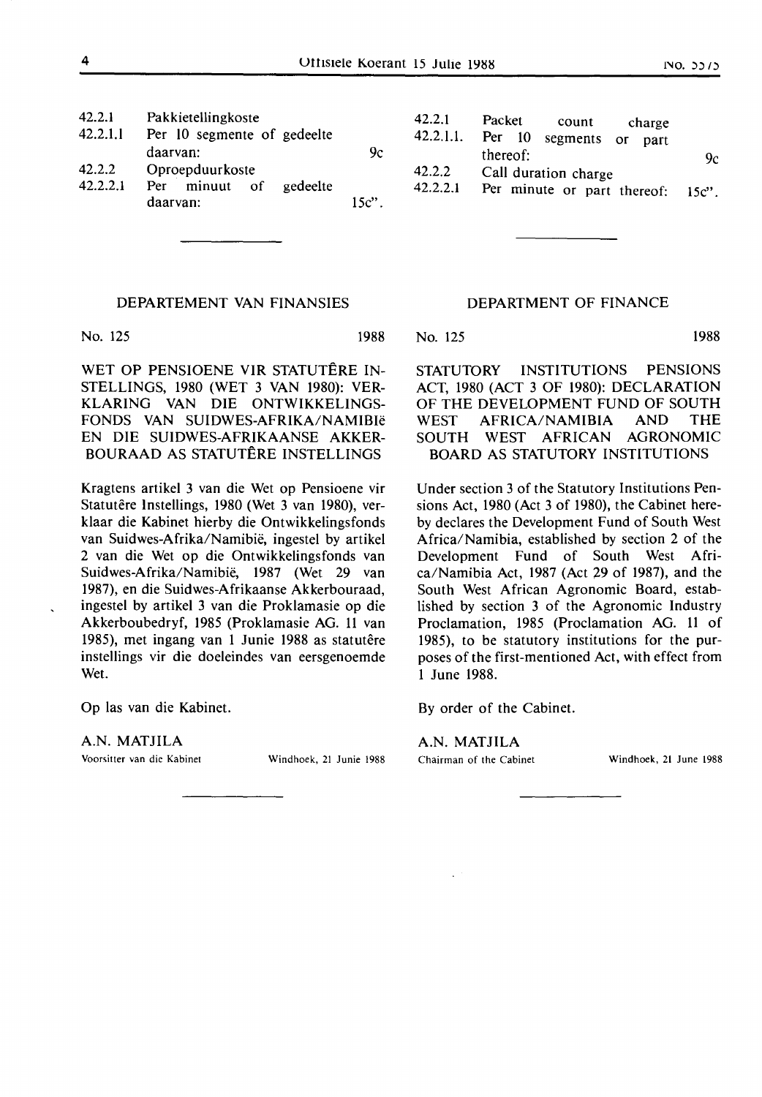| 42.2.1<br>42.2.1.1 | Pakkietellingkoste<br>Per 10 segmente of gedeelte<br>daarvan: | 42.2.1<br>42.2.1.1.<br>9c | Packet<br>count<br>charge<br>Per 10<br>segments<br>$-$ or<br>part<br>thereof: |  |                |
|--------------------|---------------------------------------------------------------|---------------------------|-------------------------------------------------------------------------------|--|----------------|
| 42.2.2<br>42.2.2.1 | Oproepduurkoste<br>minuut of<br>gedeelte<br>Per<br>daarvan:   | $15c$ "                   | 42.2.2<br>Call duration charge<br>42.2.2.1<br>Per minute or part thereof:     |  | 9с<br>$15c$ ". |

#### **DEPARTEMENT VAN FINANSIES**

No. 125

1988

WET OP PENSIOENE VIR STATUTÊRE IN-STELLINGS, 1980 (WET 3 VAN 1980): VER-KLARING VAN DIE ONTWIKKELINGS-FONDS VAN SUIDWES-AFRIKA/NAMIBie EN DIE SUIDWES-AFRIKAANSE **AKKER-**BOURAAD AS STATUTÊRE INSTELLINGS

Kragtens artikel 3 van die Wet op Pensioene vir Statutêre Instellings, 1980 (Wet 3 van 1980), verklaar die Kabinet hierby die Ontwikkelingsfonds van Suidwes-Afrika/Namibie, ingestel by artikel 2 van die Wet op die Ontwikkelingsfonds van Suidwes-Afrika/Namibie, 1987 (Wet 29 van 1987), en die Suidwes-Afrikaanse Akkerbouraad, ingestel by artikel 3 van die Proklamasie op die Akkerboubedryf, 1985 (Proklamasie AG. 11 van 1985), met ingang van 1 Junie 1988 as statutêre instellings vir die doeleindes van eersgenoemde Wet.

Op las van die Kabinet.

**A.N. MATJILA** 

Voorsitter van die Kabinet Windhoek, 21 Junie 1988

#### DEPARTMENT OF FINANCE

No. 125 1988

STATUTORY INSTITUTIONS PENSIONS ACT, 1980 (ACT 3 OF 1980): DECLARATION OF THE DEVELOPMENT FUND OF SOUTH WEST AFRICA/NAMIBIA AND THE SOUTH WEST AFRICAN AGRONOMIC BOARD AS STATUTORY INSTITUTIONS

Under section 3 of the Statutory Institutions Pensions Act, 1980 (Act 3 of 1980), the Cabinet hereby declares the Development Fund of South West Africa/Namibia, established by section 2 of the Development Fund of South West Africa/Namibia Act, 1987 (Act 29 of 1987), and the South West African Agronomic Board, established by section 3 of the Agronomic Industry Proclamation, 1985 (Proclamation AG. 11 of 1985), to be statutory institutions for the purposes of the first-mentioned Act, with effect from 1 June 1988.

By order of the Cabinet.

#### **A.N. MATJILA**

Chairman of the Cabinet Windhoek, 21 June 1988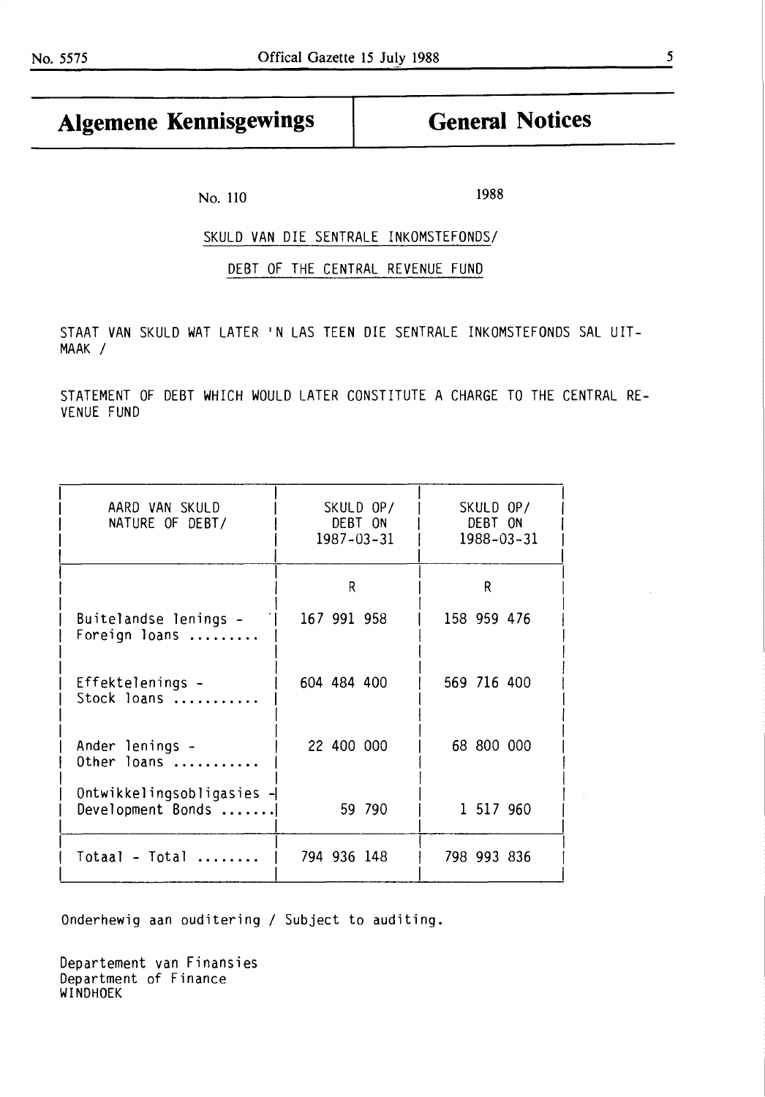## Algemene Kennisgewings | General Notices

No. 110 1988

### SKULD **VAN** DIE SENTRALE INKOMSTEFONDS/

#### DEBT OF THE CENTRAL REVENUE FUND

STAAT VAN SKULD WAT LATER 'N LAS TEEN DIE SENTRALE INKOMSTEFONDS SAL UIT-**MAAK** /

STATEMENT OF DEBT WHICH WOULD LATER CONSTITUTE A CHARGE TO THE CENTRAL RE-VENUE FUND

| AARD VAN SKULD<br>NATURE OF DEBT/              | SKULD OP/<br>DEBT ON<br>$1987 - 03 - 31$ | SKULD OP/<br>DEBT ON<br>$1988 - 03 - 31$ |
|------------------------------------------------|------------------------------------------|------------------------------------------|
|                                                | R                                        | R                                        |
| Buitelandse lenings -<br>Foreign loans         | 167 991 958                              | 158 959 476                              |
| Effektelenings -<br>Stock loans                | 604 484 400                              | 569 716 400                              |
| Ander lenings -<br>Other loans                 | 22 400 000                               | 68 800 000                               |
| Ontwikkelingsobligasies -<br>Development Bonds | 59 790                                   | 1 517 960                                |
| $Total - Total$                                | 794 936 148                              | 798 993 836                              |

Onderhewig aan ouditering / Subject to auditing.

Departement van Finansies Department of Finance **WINDHOEK**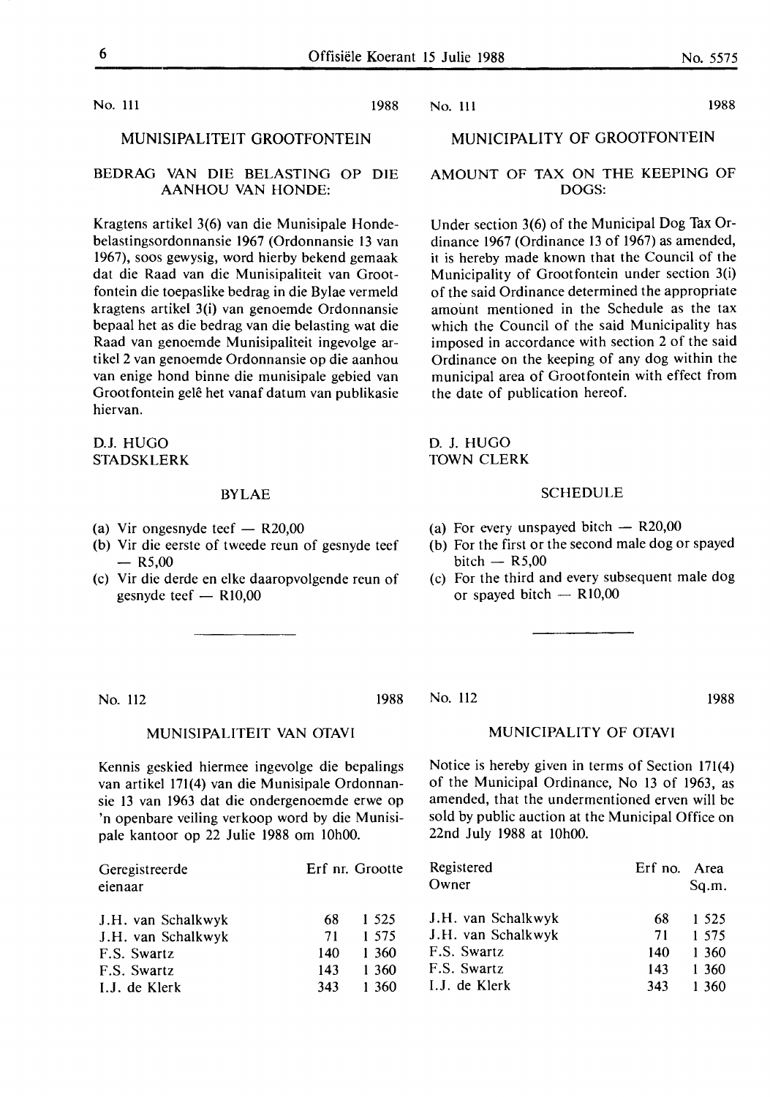No. 111 1988

#### MUNISIPALITEIT GROOTFONTEIN

#### **BEDRAG VAN DIE BELASTING** OP DIE **AANHOU VAN HONDE:**

Kragtens artikel 3(6) van die Munisipale Hondebelastingsordonnansie 1967 (Ordonnansie 13 van 1967), soos gewysig, word hierby bekend gemaak dat die Raad van die Munisipaliteit van Grootfontein die toepaslike bedrag in die Bylae vermeld kragtens artikel 3(i) van genoemde Ordonnansie bepaal het as die bedrag van die belasting wat die Raad van genoemde Munisipaliteit ingevolge artikel 2 van genoemde Ordonnansie op die aanhou van enige hond binne die munisipale gebied van Grootfontein gelê het vanaf datum van publikasie hiervan.

D.J. HUGO STADSKLERK

#### BYLAE

- (a) Vir ongesnyde teef  $-$  R20,00
- (b) Vir die eerste of tweede reun of gesnyde teef  $-$  R5,00
- (c) Vir die derde en elke daaropvolgende reun of gesnyde teef  $-$  R10,00

No. 112 1988

#### **MUNISIPALITEIT VAN OTAVI**

Kennis geskied hiermee ingevolge die bepalings van artikel 171(4) van die Munisipale Ordonnansie 13 van 1963 dat die ondergenoemde erwe op 'n openbare veiling verkoop word by die Munisipale kantoor op 22 Julie 1988 om 10h00.

| Geregistreerde<br>eienaar |     | Erf nr. Grootte | Registered<br>Owner | Erf no. Area | Sq.m.   |
|---------------------------|-----|-----------------|---------------------|--------------|---------|
| J.H. van Schalkwyk        | 68  | 1 5 2 5         | J.H. van Schalkwyk  | 68           | 1 5 2 5 |
| J.H. van Schalkwyk        | 71  | 1 575           | J.H. van Schalkwyk  | 71           | 1 575   |
| F.S. Swartz               | 140 | 1 360           | F.S. Swartz         | 140          | 1 360   |
| F.S. Swartz               | 143 | 1 360           | F.S. Swartz         | 143          | 1 360   |
| I.J. de Klerk             | 343 | 360             | I.J. de Klerk       | 343          | 1 360   |

No. 111 1988

#### MUNICIPALITY OF GROOTFONTEIN

#### **AMOUNT** OF **TAX ON THE KEEPING** OF **DOGS:**

Under section 3(6) of the Municipal Dog Tax Ordinance 1967 (Ordinance 13 of 1967) as amended, it is hereby made known that the Council of the Municipality of Grootfontein under section 3(i) of the said Ordinance determined the appropriate amount mentioned in the Schedule as the tax which the Council of the said Municipality has imposed in accordance with section 2 of the said Ordinance on the keeping of any dog within the municipal area of Grootfontein with effect from the date of publication hereof.

D. J. HUGO **TOWN** CLERK

#### SCHEDULE

- (a) For every unspayed bitch  $-$  R20,00
- (b) For the first or the second male dog or spayed bitch  $-$  R5,00
- (c) For the third and every subsequent male dog or spayed bitch  $-$  R10,00

No. 112 1988

#### MUNICIPALITY OF OTAVI

Notice is hereby given in terms of Section 171(4) of the Municipal Ordinance, No 13 of 1963, as amended, that the undermentioned erven will be sold by public auction at the Municipal Office on 22nd July 1988 at 10h00.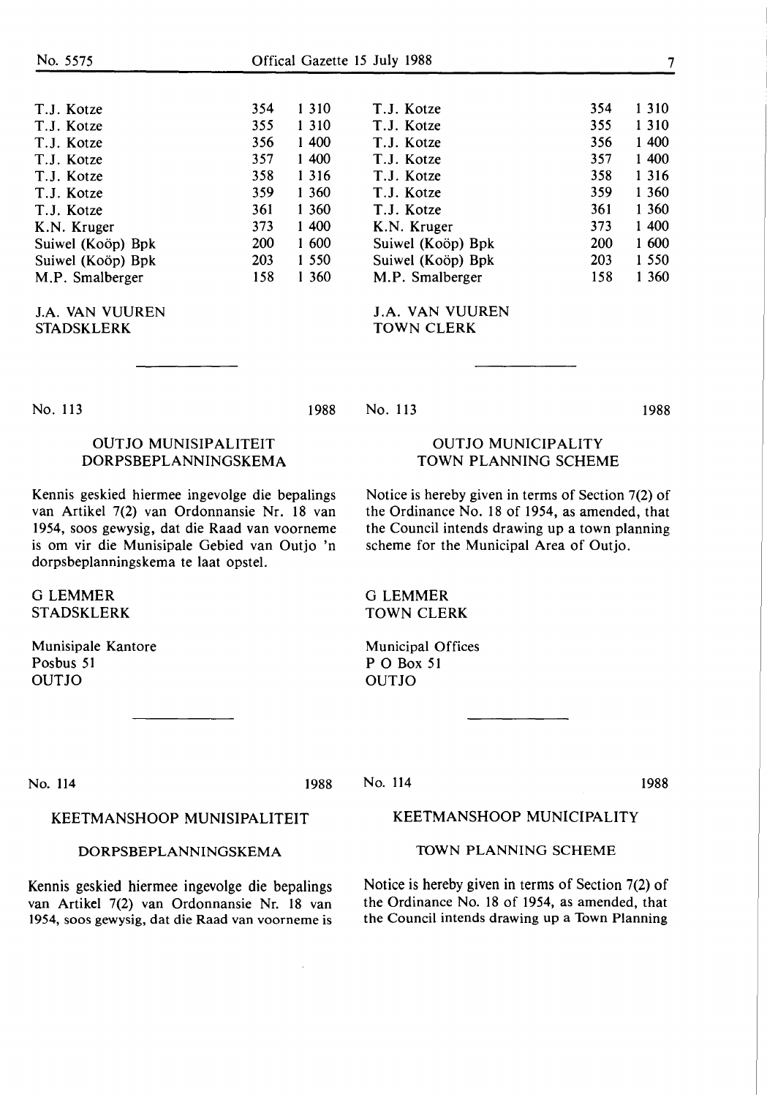| 354 |
|-----|
| 355 |
| 356 |
| 357 |
| 358 |
| 359 |
| 361 |
| 373 |
| 200 |
| 203 |
| 158 |
|     |

**J.A. VAN** VUUREN **STADSKLERK** 

T.J. Kotze 354 T.J. Kotze 355 T.J. Kotze 356 T.J. Kotze 357 T.J. Kotze 358 T.J. Kotze 359 T.J. Kotze 361 **K.N.** Kruger 373 Suiwel (Koöp) Bpk 200 Suiwel (Koöp) Bpk 203 **M.P.** Smalberger 158 1 310 1 310 1 400 1 400 1 316 1 360 1 360 1 400 1 600 1 550 1 360

**J.A. VAN** VUUREN **TOWN CLERK** 

No. 113

#### 1988 No. 113

1988

### OUT JO MUNISIPALITEIT DORPSBEPLANNINGSKEMA

Kennis geskied hiermee ingevolge die bepalings van Artikel 7(2) van Ordonnansie Nr. 18 van 1954, soos gewysig, dat die Raad van voorneme is om vir die Munisipale Gebied van Outjo 'n dorpsbeplanningskema te laat opstel.

G LEMMER STADSKLERK

Munisipale Kantore Posbus 51 OUTJO

Notice is hereby given in terms of Section 7(2) of

the Ordinance No. 18 of 1954, as amended, that the Council intends drawing up a town planning scheme for the Municipal Area of Outjo.

OUTJO MUNICIPALITY TOWN PLANNING SCHEME

G LEMMER TOWN CLERK

Municipal Offices PO Box 51 OUTJO

No. 114 1988

No. 114

1988

#### KEETMANSHOOP MUNISIPALITEIT

#### **DORPSBEPLANNINGSKEMA**

Kennis geskied hiermee ingevolge die bepalings van Artikel 7(2) van Ordonnansie Nr. 18 van 1954, soos gewysig, dat die Raad van voorneme is KEETMANSHOOP MUNICIPALITY

#### **TOWN PLANNING** SCHEME

Notice is hereby given in terms of Section 7(2) of the Ordinance No. 18 of 1954, as amended, that the Council intends drawing up a Town Planning